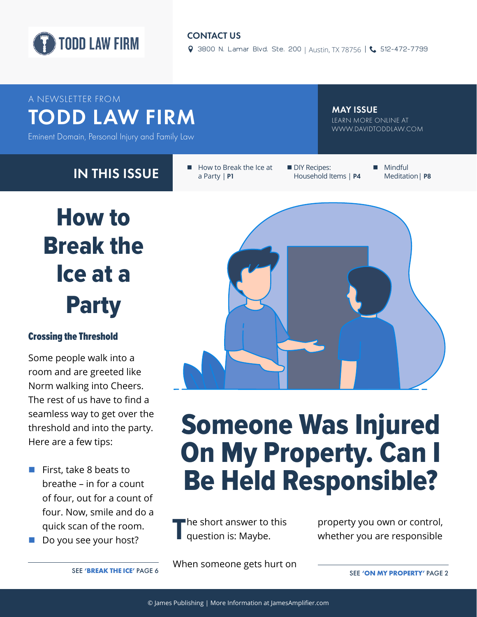

#### CONTACT US

9 3800 N. Lamar Blvd. Ste. 200 | Austin, TX 78756 | 6 512-472-7799

### A NEWSLETTER FROM TODD LAW FIRM TEARN MATISSUE AT LEARN MORE ONLINE AT

Eminent Domain, Personal Injury and Family Law

MAY ISSUE

WWW.DAVIDTODDLAW.COM

IN THIS ISSUE **Example 1** How to Break the Ice at a Party | **P1**

**DIY Recipes:** Household Items | **P4** **Mindful** Meditation| **P8**



#### Crossing the Threshold

Some people walk into a room and are greeted like Norm walking into Cheers. The rest of us have to find a seamless way to get over the threshold and into the party. Here are a few tips:

- First, take 8 beats to breathe – in for a count of four, out for a count of four. Now, smile and do a quick scan of the room.
- Do you see your host?



## Someone Was Injured On My Property. Can I Be Held Responsible?

**T**he short answer to this question is: Maybe.

property you own or control, whether you are responsible

When someone gets hurt on

SEE **'BREAK THE ICE'** PAGE 6 SEE **'ON MY PROPERTY'** PAGE 2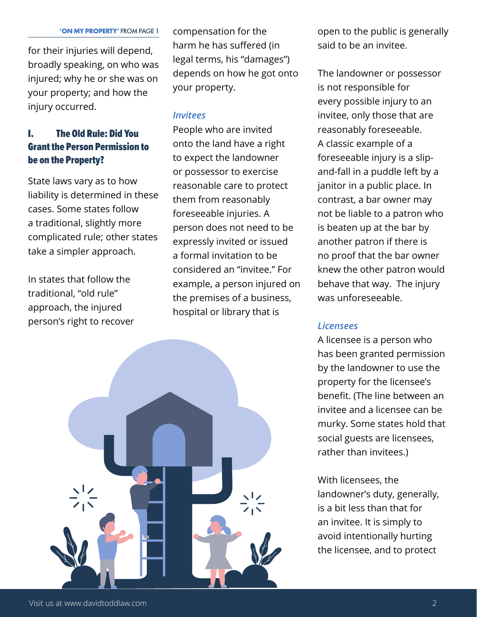for their injuries will depend, broadly speaking, on who was injured; why he or she was on your property; and how the injury occurred.

#### I. The Old Rule: Did You Grant the Person Permission to be on the Property?

State laws vary as to how liability is determined in these cases. Some states follow a traditional, slightly more complicated rule; other states take a simpler approach.

In states that follow the traditional, "old rule" approach, the injured person's right to recover

compensation for the harm he has suffered (in legal terms, his "damages") depends on how he got onto your property.

#### *Invitees*

People who are invited onto the land have a right to expect the landowner or possessor to exercise reasonable care to protect them from reasonably foreseeable injuries. A person does not need to be expressly invited or issued a formal invitation to be considered an "invitee." For example, a person injured on the premises of a business, hospital or library that is



open to the public is generally said to be an invitee.

The landowner or possessor is not responsible for every possible injury to an invitee, only those that are reasonably foreseeable. A classic example of a foreseeable injury is a slipand-fall in a puddle left by a janitor in a public place. In contrast, a bar owner may not be liable to a patron who is beaten up at the bar by another patron if there is no proof that the bar owner knew the other patron would behave that way. The injury was unforeseeable.

#### *Licensees*

A licensee is a person who has been granted permission by the landowner to use the property for the licensee's benefit. (The line between an invitee and a licensee can be murky. Some states hold that social guests are licensees, rather than invitees.)

With licensees, the landowner's duty, generally, is a bit less than that for an invitee. It is simply to avoid intentionally hurting the licensee, and to protect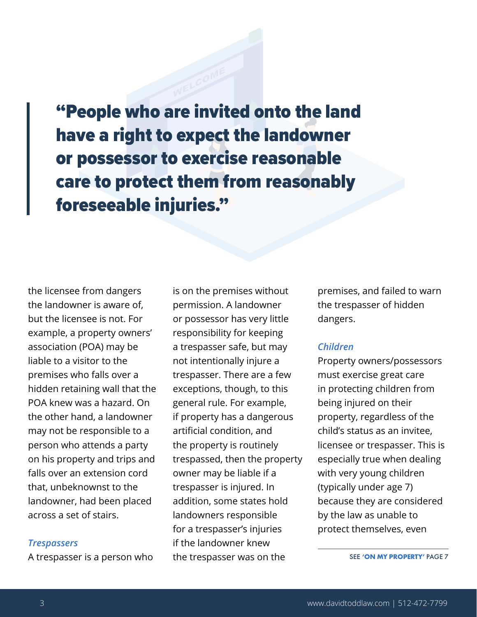"People who are invited onto the land have a right to expect the landowner or possessor to exercise reasonable care to protect them from reasonably foreseeable injuries."

the licensee from dangers the landowner is aware of, but the licensee is not. For example, a property owners' association (POA) may be liable to a visitor to the premises who falls over a hidden retaining wall that the POA knew was a hazard. On the other hand, a landowner may not be responsible to a person who attends a party on his property and trips and falls over an extension cord that, unbeknownst to the landowner, had been placed across a set of stairs.

#### *Trespassers*

A trespasser is a person who

is on the premises without permission. A landowner or possessor has very little responsibility for keeping a trespasser safe, but may not intentionally injure a trespasser. There are a few exceptions, though, to this general rule. For example, if property has a dangerous artificial condition, and the property is routinely trespassed, then the property owner may be liable if a trespasser is injured. In addition, some states hold landowners responsible for a trespasser's injuries if the landowner knew the trespasser was on the

premises, and failed to warn the trespasser of hidden dangers.

#### *Children*

Property owners/possessors must exercise great care in protecting children from being injured on their property, regardless of the child's status as an invitee, licensee or trespasser. This is especially true when dealing with very young children (typically under age 7) because they are considered by the law as unable to protect themselves, even

SEE **'ON MY PROPERTY'** PAGE 7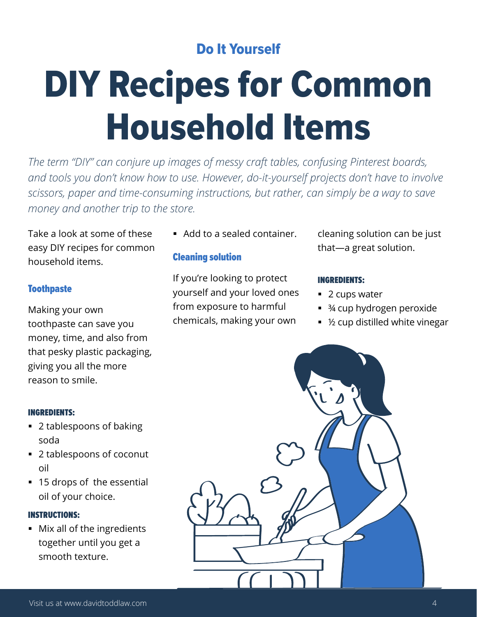#### Do It Yourself

# DIY Recipes for Common Household Items

*The term "DIY" can conjure up images of messy craft tables, confusing Pinterest boards, and tools you don't know how to use. However, do-it-yourself projects don't have to involve scissors, paper and time-consuming instructions, but rather, can simply be a way to save money and another trip to the store.* 

Take a look at some of these easy DIY recipes for common household items.

#### **Toothpaste**

Making your own toothpaste can save you money, time, and also from that pesky plastic packaging, giving you all the more reason to smile.

#### INGREDIENTS:

- 2 tablespoons of baking soda
- 2 tablespoons of coconut oil
- 15 drops of the essential oil of your choice.

#### INSTRUCTIONS:

 Mix all of the ingredients together until you get a smooth texture.

Add to a sealed container.

#### Cleaning solution

If you're looking to protect yourself and your loved ones from exposure to harmful chemicals, making your own

cleaning solution can be just that—a great solution.

#### INGREDIENTS:

- 2 cups water
- ¾ cup hydrogen peroxide
- ½ cup distilled white vinegar

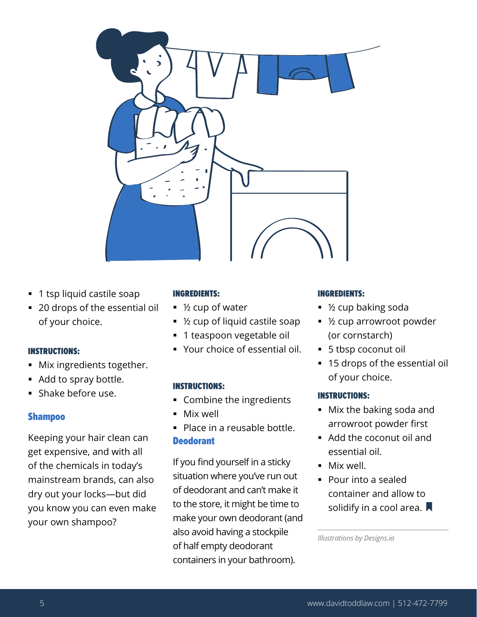

- **1** tsp liquid castile soap
- 20 drops of the essential oil of your choice.

#### INSTRUCTIONS:

- **Mix ingredients together.**
- Add to spray bottle.
- Shake before use.

#### Shampoo

Keeping your hair clean can get expensive, and with all of the chemicals in today's mainstream brands, can also dry out your locks—but did you know you can even make your own shampoo?

#### INGREDIENTS:

- ½ cup of water
- ½ cup of liquid castile soap
- **1** teaspoon vegetable oil
- Your choice of essential oil.

#### INSTRUCTIONS:

- **Combine the ingredients**
- Mix well
- Place in a reusable bottle. **Deodorant**

If you find yourself in a sticky situation where you've run out of deodorant and can't make it to the store, it might be time to make your own deodorant (and also avoid having a stockpile of half empty deodorant containers in your bathroom).

#### INGREDIENTS:

- ½ cup baking soda
- ½ cup arrowroot powder (or cornstarch)
- 5 tbsp coconut oil
- **15 drops of the essential oil** of your choice.

#### INSTRUCTIONS:

- Mix the baking soda and arrowroot powder first
- Add the coconut oil and essential oil.
- **Mix well.**
- Pour into a sealed container and allow to solidify in a cool area.  $\blacksquare$

*Illustrations by Designs.ia*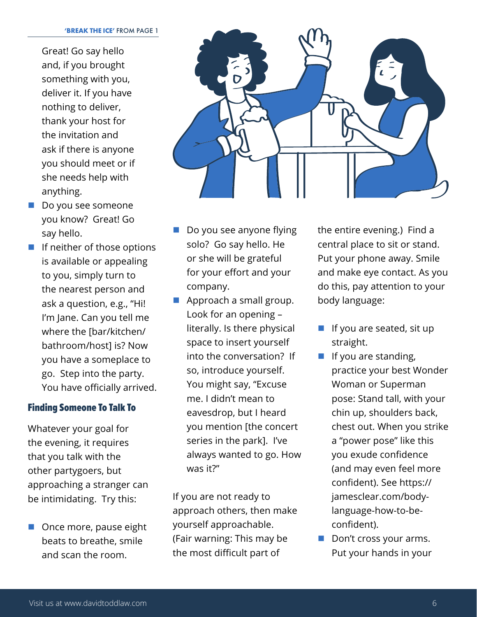Great! Go say hello and, if you brought something with you, deliver it. If you have nothing to deliver, thank your host for the invitation and ask if there is anyone you should meet or if she needs help with anything.

- Do you see someone you know? Great! Go say hello.
- **I** If neither of those options is available or appealing to you, simply turn to the nearest person and ask a question, e.g., "Hi! I'm Jane. Can you tell me where the [bar/kitchen/ bathroom/host] is? Now you have a someplace to go. Step into the party. You have officially arrived.

#### Finding Someone To Talk To

Whatever your goal for the evening, it requires that you talk with the other partygoers, but approaching a stranger can be intimidating. Try this:

■ Once more, pause eight beats to breathe, smile and scan the room.



- Do you see anyone flying solo? Go say hello. He or she will be grateful for your effort and your company.
- Approach a small group. Look for an opening – literally. Is there physical space to insert yourself into the conversation? If so, introduce yourself. You might say, "Excuse me. I didn't mean to eavesdrop, but I heard you mention [the concert series in the park]. I've always wanted to go. How was it?"

If you are not ready to approach others, then make yourself approachable. (Fair warning: This may be the most difficult part of

the entire evening.) Find a central place to sit or stand. Put your phone away. Smile and make eye contact. As you do this, pay attention to your body language:

- If you are seated, sit up straight.
- $\blacksquare$  If you are standing, practice your best Wonder Woman or Superman pose: Stand tall, with your chin up, shoulders back, chest out. When you strike a "power pose" like this you exude confidence (and may even feel more confident). See https:// jamesclear.com/bodylanguage-how-to-beconfident).
- Don't cross your arms. Put your hands in your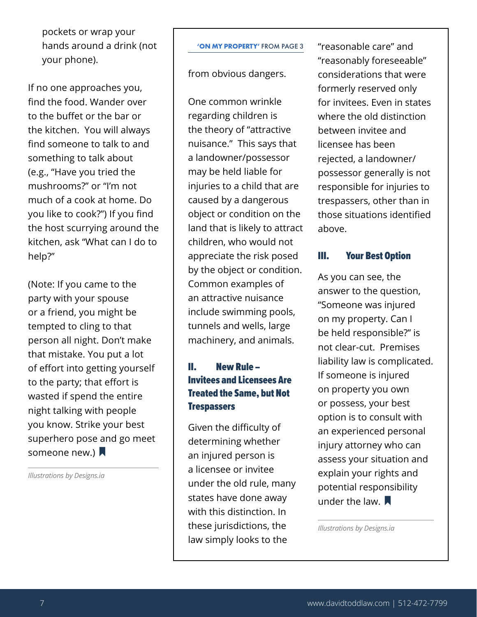pockets or wrap your hands around a drink (not your phone).

If no one approaches you, find the food. Wander over to the buffet or the bar or the kitchen. You will always find someone to talk to and something to talk about (e.g., "Have you tried the mushrooms?" or "I'm not much of a cook at home. Do you like to cook?") If you find the host scurrying around the kitchen, ask "What can I do to help?"

(Note: If you came to the party with your spouse or a friend, you might be tempted to cling to that person all night. Don't make that mistake. You put a lot of effort into getting yourself to the party; that effort is wasted if spend the entire night talking with people you know. Strike your best superhero pose and go meet someone new.)  $\blacksquare$ 

*Illustrations by Designs.ia*

#### **'ON MY PROPERTY'** FROM PAGE 3

from obvious dangers.

One common wrinkle regarding children is the theory of "attractive nuisance." This says that a landowner/possessor may be held liable for injuries to a child that are caused by a dangerous object or condition on the land that is likely to attract children, who would not appreciate the risk posed by the object or condition. Common examples of an attractive nuisance include swimming pools, tunnels and wells, large machinery, and animals.

#### II. New Rule – Invitees and Licensees Are Treated the Same, but Not **Trespassers**

Given the difficulty of determining whether an injured person is a licensee or invitee under the old rule, many states have done away with this distinction. In these jurisdictions, the law simply looks to the

"reasonable care" and "reasonably foreseeable" considerations that were formerly reserved only for invitees. Even in states where the old distinction between invitee and licensee has been rejected, a landowner/ possessor generally is not responsible for injuries to trespassers, other than in those situations identified above.

#### III. Your Best Option

As you can see, the answer to the question, "Someone was injured on my property. Can I be held responsible?" is not clear-cut. Premises liability law is complicated. If someone is injured on property you own or possess, your best option is to consult with an experienced personal injury attorney who can assess your situation and explain your rights and potential responsibility under the law.  $\blacksquare$ 

*Illustrations by Designs.ia*